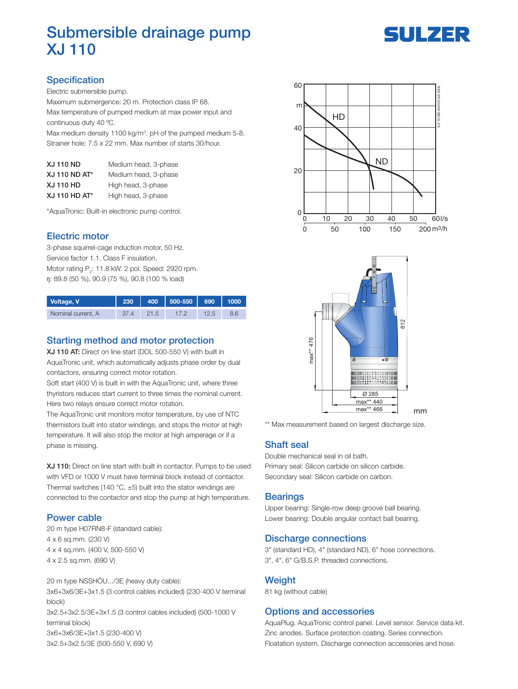

# Submersible drainage pump XJ 110

# **Specification**

Electric submersible pump.

Maximum submergence: 20 m. Protection class IP 68. Max temperature of pumped medium at max power input and continuous duty 40 ºC.

Max medium density 1100 kg/m<sup>3</sup>. pH of the pumped medium 5-8. Strainer hole: 7.5 x 22 mm. Max number of starts 30/hour.

| <b>XJ 110 ND</b>     | Medium head, 3-phase |
|----------------------|----------------------|
| <b>XJ 110 ND AT*</b> | Medium head, 3-phase |
| <b>XJ 110 HD</b>     | High head, 3-phase   |
| XJ 110 HD AT*        | High head, 3-phase   |

\*AquaTronic: Built-in electronic pump control.

## Electric motor

3-phase squirrel-cage induction motor, 50 Hz. Service factor 1.1. Class F insulation. Motor rating  $P_2$ : 11.8 kW. 2 pol. Speed: 2920 rpm. ŋ: 89.8 (50 %), 90.9 (75 %), 90.8 (100 % load)

| Voltage, V         | 230 | 400 | 500-550 | 690 | 1000 |
|--------------------|-----|-----|---------|-----|------|
| Nominal current, A |     |     |         |     |      |

## Starting method and motor protection

XJ 110 AT: Direct on line start (DOL 500-550 V) with built in AquaTronic unit, which automatically adjusts phase order by dual contactors, ensuring correct motor rotation.

Soft start (400 V) is built in with the AquaTronic unit, where three thyristors reduces start current to three times the nominal current. Here two relays ensure correct motor rotation.

The AquaTronic unit monitors motor temperature, by use of NTC thermistors built into stator windings, and stops the motor at high temperature. It will also stop the motor at high amperage or if a phase is missing.

XJ 110: Direct on line start with built in contactor. Pumps to be used with VFD or 1000 V must have terminal block instead of contactor. Thermal switches (140 °C,  $\pm$ 5) built into the stator windings are connected to the contactor and stop the pump at high temperature.

#### Power cable

20 m type H07RN8-F (standard cable): 4 x 6 sq.mm. (230 V) 4 x 4 sq.mm. (400 V, 500-550 V) 4 x 2.5 sq.mm. (690 V)

20 m type NSSHÖU.../3E (heavy duty cable): 3x6+3x6/3E+3x1.5 (3 control cables included) (230-400 V terminal block) 3x2.5+3x2.5/3E+3x1.5 (3 control cables included) (500-1000 V terminal block) 3x6+3x6/3E+3x1.5 (230-400 V) 3x2.5+3x2.5/3E (500-550 V, 690 V)





\*\* Max measurement based on largest discharge size.

#### Shaft seal

Double mechanical seal in oil bath. Primary seal: Silicon carbide on silicon carbide. Secondary seal: Silicon carbide on carbon.

#### **Bearings**

Upper bearing: Single-row deep groove ball bearing. Lower bearing: Double angular contact ball bearing.

#### Discharge connections

3" (standard HD), 4" (standard ND), 6" hose connections. 3", 4", 6" G/B.S.P. threaded connections.

#### **Weight**

81 kg (without cable)

#### Options and accessories

AquaPlug. AquaTronic control panel. Level sensor. Service data kit. Zinc anodes. Surface protection coating. Series connection. Floatation system. Discharge connection accessories and hose.